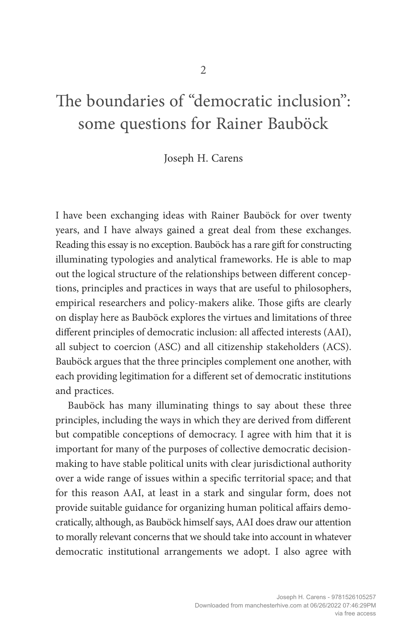# The boundaries of "democratic inclusion": some questions for Rainer Bauböck

#### Joseph H. Carens

I have been exchanging ideas with Rainer Bauböck for over twenty years, and I have always gained a great deal from these exchanges. Reading this essay is no exception. Bauböck has a rare gift for constructing illuminating typologies and analytical frameworks. He is able to map out the logical structure of the relationships between different conceptions, principles and practices in ways that are useful to philosophers, empirical researchers and policy-makers alike. Those gifts are clearly on display here as Bauböck explores the virtues and limitations of three different principles of democratic inclusion: all affected interests (AAI), all subject to coercion (ASC) and all citizenship stakeholders (ACS). Bauböck argues that the three principles complement one another, with each providing legitimation for a different set of democratic institutions and practices.

Bauböck has many illuminating things to say about these three principles, including the ways in which they are derived from different but compatible conceptions of democracy. I agree with him that it is important for many of the purposes of collective democratic decisionmaking to have stable political units with clear jurisdictional authority over a wide range of issues within a specific territorial space; and that for this reason AAI, at least in a stark and singular form, does not provide suitable guidance for organizing human political affairs democratically, although, as Bauböck himself says, AAI does draw our attention to morally relevant concerns that we should take into account in whatever democratic institutional arrangements we adopt. I also agree with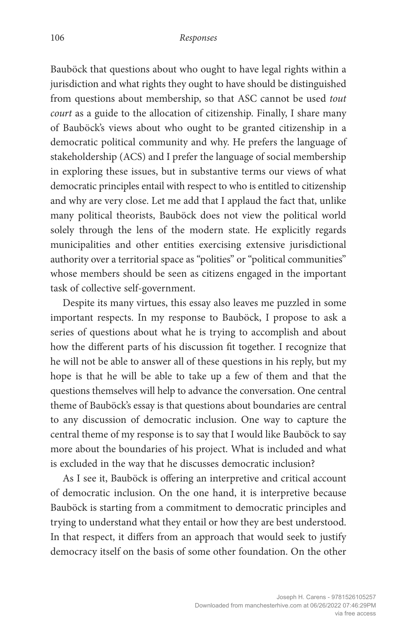Bauböck that questions about who ought to have legal rights within a jurisdiction and what rights they ought to have should be distinguished from questions about membership, so that ASC cannot be used *tout court* as a guide to the allocation of citizenship. Finally, I share many of Bauböck's views about who ought to be granted citizenship in a democratic political community and why. He prefers the language of stakeholdership (ACS) and I prefer the language of social membership in exploring these issues, but in substantive terms our views of what democratic principles entail with respect to who is entitled to citizenship and why are very close. Let me add that I applaud the fact that, unlike many political theorists, Bauböck does not view the political world solely through the lens of the modern state. He explicitly regards municipalities and other entities exercising extensive jurisdictional authority over a territorial space as "polities" or "political communities" whose members should be seen as citizens engaged in the important task of collective self-government.

Despite its many virtues, this essay also leaves me puzzled in some important respects. In my response to Bauböck, I propose to ask a series of questions about what he is trying to accomplish and about how the different parts of his discussion fit together. I recognize that he will not be able to answer all of these questions in his reply, but my hope is that he will be able to take up a few of them and that the questions themselves will help to advance the conversation. One central theme of Bauböck's essay is that questions about boundaries are central to any discussion of democratic inclusion. One way to capture the central theme of my response is to say that I would like Bauböck to say more about the boundaries of his project. What is included and what is excluded in the way that he discusses democratic inclusion?

As I see it, Bauböck is offering an interpretive and critical account of democratic inclusion. On the one hand, it is interpretive because Bauböck is starting from a commitment to democratic principles and trying to understand what they entail or how they are best understood. In that respect, it differs from an approach that would seek to justify democracy itself on the basis of some other foundation. On the other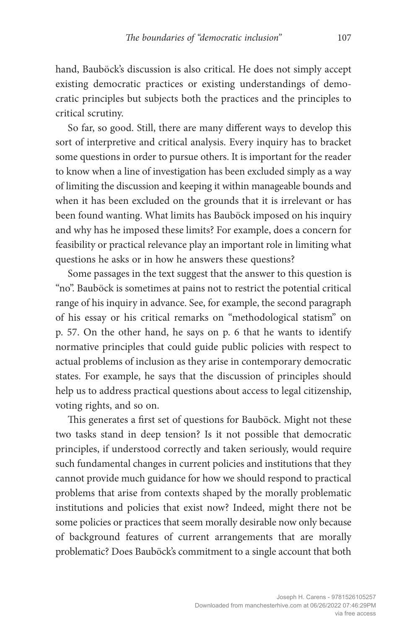hand, Bauböck's discussion is also critical. He does not simply accept existing democratic practices or existing understandings of democratic principles but subjects both the practices and the principles to critical scrutiny.

So far, so good. Still, there are many different ways to develop this sort of interpretive and critical analysis. Every inquiry has to bracket some questions in order to pursue others. It is important for the reader to know when a line of investigation has been excluded simply as a way of limiting the discussion and keeping it within manageable bounds and when it has been excluded on the grounds that it is irrelevant or has been found wanting. What limits has Bauböck imposed on his inquiry and why has he imposed these limits? For example, does a concern for feasibility or practical relevance play an important role in limiting what questions he asks or in how he answers these questions?

Some passages in the text suggest that the answer to this question is "no". Bauböck is sometimes at pains not to restrict the potential critical range of his inquiry in advance. See, for example, the second paragraph of his essay or his critical remarks on "methodological statism" on p. 57. On the other hand, he says on p. 6 that he wants to identify normative principles that could guide public policies with respect to actual problems of inclusion as they arise in contemporary democratic states. For example, he says that the discussion of principles should help us to address practical questions about access to legal citizenship, voting rights, and so on.

This generates a first set of questions for Bauböck. Might not these two tasks stand in deep tension? Is it not possible that democratic principles, if understood correctly and taken seriously, would require such fundamental changes in current policies and institutions that they cannot provide much guidance for how we should respond to practical problems that arise from contexts shaped by the morally problematic institutions and policies that exist now? Indeed, might there not be some policies or practices that seem morally desirable now only because of background features of current arrangements that are morally problematic? Does Bauböck's commitment to a single account that both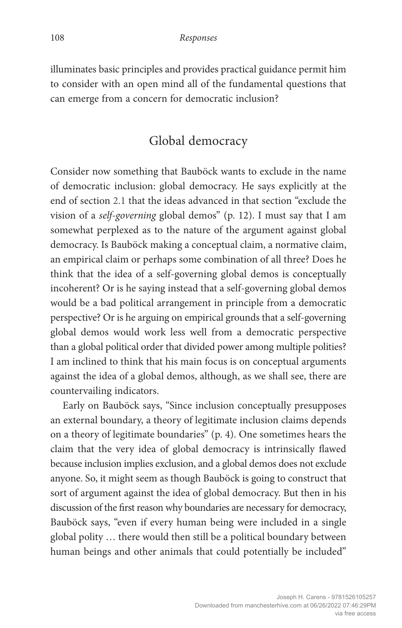illuminates basic principles and provides practical guidance permit him to consider with an open mind all of the fundamental questions that can emerge from a concern for democratic inclusion?

## Global democracy

Consider now something that Bauböck wants to exclude in the name of democratic inclusion: global democracy. He says explicitly at the end of section 2.1 that the ideas advanced in that section "exclude the vision of a *self-governing* global demos" (p. 12). I must say that I am somewhat perplexed as to the nature of the argument against global democracy. Is Bauböck making a conceptual claim, a normative claim, an empirical claim or perhaps some combination of all three? Does he think that the idea of a self-governing global demos is conceptually incoherent? Or is he saying instead that a self-governing global demos would be a bad political arrangement in principle from a democratic perspective? Or is he arguing on empirical grounds that a self-governing global demos would work less well from a democratic perspective than a global political order that divided power among multiple polities? I am inclined to think that his main focus is on conceptual arguments against the idea of a global demos, although, as we shall see, there are countervailing indicators.

Early on Bauböck says, "Since inclusion conceptually presupposes an external boundary, a theory of legitimate inclusion claims depends on a theory of legitimate boundaries" (p. 4). One sometimes hears the claim that the very idea of global democracy is intrinsically flawed because inclusion implies exclusion, and a global demos does not exclude anyone. So, it might seem as though Bauböck is going to construct that sort of argument against the idea of global democracy. But then in his discussion of the first reason why boundaries are necessary for democracy, Bauböck says, "even if every human being were included in a single global polity … there would then still be a political boundary between human beings and other animals that could potentially be included"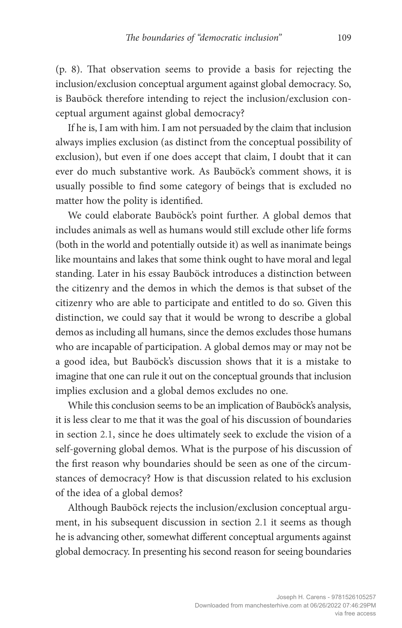(p. 8). That observation seems to provide a basis for rejecting the inclusion/exclusion conceptual argument against global democracy. So, is Bauböck therefore intending to reject the inclusion/exclusion conceptual argument against global democracy?

If he is, I am with him. I am not persuaded by the claim that inclusion always implies exclusion (as distinct from the conceptual possibility of exclusion), but even if one does accept that claim, I doubt that it can ever do much substantive work. As Bauböck's comment shows, it is usually possible to find some category of beings that is excluded no matter how the polity is identified.

We could elaborate Bauböck's point further. A global demos that includes animals as well as humans would still exclude other life forms (both in the world and potentially outside it) as well as inanimate beings like mountains and lakes that some think ought to have moral and legal standing. Later in his essay Bauböck introduces a distinction between the citizenry and the demos in which the demos is that subset of the citizenry who are able to participate and entitled to do so. Given this distinction, we could say that it would be wrong to describe a global demos as including all humans, since the demos excludes those humans who are incapable of participation. A global demos may or may not be a good idea, but Bauböck's discussion shows that it is a mistake to imagine that one can rule it out on the conceptual grounds that inclusion implies exclusion and a global demos excludes no one.

While this conclusion seems to be an implication of Bauböck's analysis, it is less clear to me that it was the goal of his discussion of boundaries in section 2.1, since he does ultimately seek to exclude the vision of a self-governing global demos. What is the purpose of his discussion of the first reason why boundaries should be seen as one of the circumstances of democracy? How is that discussion related to his exclusion of the idea of a global demos?

Although Bauböck rejects the inclusion/exclusion conceptual argument, in his subsequent discussion in section 2.1 it seems as though he is advancing other, somewhat different conceptual arguments against global democracy. In presenting his second reason for seeing boundaries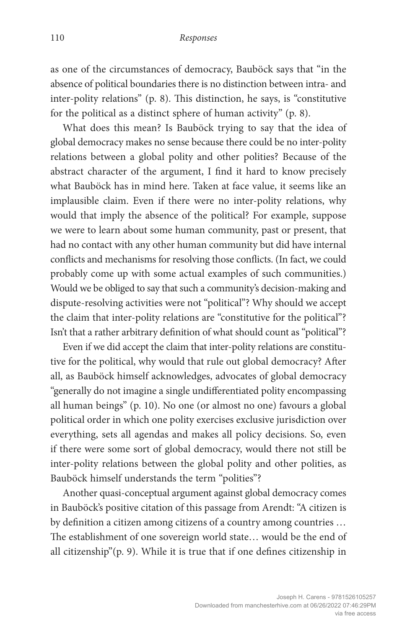as one of the circumstances of democracy, Bauböck says that "in the absence of political boundaries there is no distinction between intra- and inter-polity relations" (p. 8). This distinction, he says, is "constitutive for the political as a distinct sphere of human activity" (p. 8).

What does this mean? Is Bauböck trying to say that the idea of global democracy makes no sense because there could be no inter-polity relations between a global polity and other polities? Because of the abstract character of the argument, I find it hard to know precisely what Bauböck has in mind here. Taken at face value, it seems like an implausible claim. Even if there were no inter-polity relations, why would that imply the absence of the political? For example, suppose we were to learn about some human community, past or present, that had no contact with any other human community but did have internal conflicts and mechanisms for resolving those conflicts. (In fact, we could probably come up with some actual examples of such communities.) Would we be obliged to say that such a community's decision-making and dispute-resolving activities were not "political"? Why should we accept the claim that inter-polity relations are "constitutive for the political"? Isn't that a rather arbitrary definition of what should count as "political"?

Even if we did accept the claim that inter-polity relations are constitutive for the political, why would that rule out global democracy? After all, as Bauböck himself acknowledges, advocates of global democracy "generally do not imagine a single undifferentiated polity encompassing all human beings" (p. 10). No one (or almost no one) favours a global political order in which one polity exercises exclusive jurisdiction over everything, sets all agendas and makes all policy decisions. So, even if there were some sort of global democracy, would there not still be inter-polity relations between the global polity and other polities, as Bauböck himself understands the term "polities"?

Another quasi-conceptual argument against global democracy comes in Bauböck's positive citation of this passage from Arendt: "A citizen is by definition a citizen among citizens of a country among countries … The establishment of one sovereign world state… would be the end of all citizenship"(p. 9). While it is true that if one defines citizenship in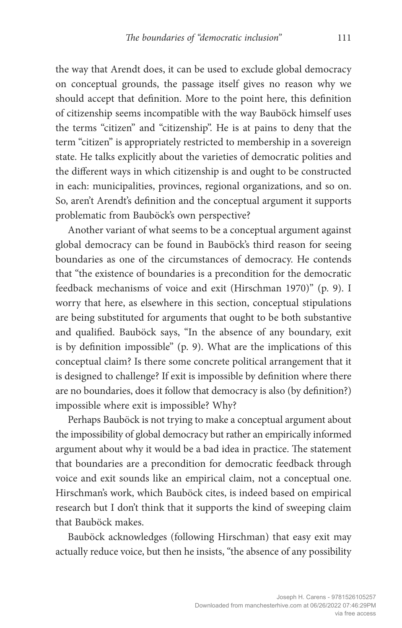the way that Arendt does, it can be used to exclude global democracy on conceptual grounds, the passage itself gives no reason why we should accept that definition. More to the point here, this definition of citizenship seems incompatible with the way Bauböck himself uses the terms "citizen" and "citizenship". He is at pains to deny that the term "citizen" is appropriately restricted to membership in a sovereign state. He talks explicitly about the varieties of democratic polities and the different ways in which citizenship is and ought to be constructed in each: municipalities, provinces, regional organizations, and so on. So, aren't Arendt's definition and the conceptual argument it supports problematic from Bauböck's own perspective?

Another variant of what seems to be a conceptual argument against global democracy can be found in Bauböck's third reason for seeing boundaries as one of the circumstances of democracy. He contends that "the existence of boundaries is a precondition for the democratic feedback mechanisms of voice and exit (Hirschman 1970)" (p. 9). I worry that here, as elsewhere in this section, conceptual stipulations are being substituted for arguments that ought to be both substantive and qualified. Bauböck says, "In the absence of any boundary, exit is by definition impossible" (p. 9). What are the implications of this conceptual claim? Is there some concrete political arrangement that it is designed to challenge? If exit is impossible by definition where there are no boundaries, does it follow that democracy is also (by definition?) impossible where exit is impossible? Why?

Perhaps Bauböck is not trying to make a conceptual argument about the impossibility of global democracy but rather an empirically informed argument about why it would be a bad idea in practice. The statement that boundaries are a precondition for democratic feedback through voice and exit sounds like an empirical claim, not a conceptual one. Hirschman's work, which Bauböck cites, is indeed based on empirical research but I don't think that it supports the kind of sweeping claim that Bauböck makes.

Bauböck acknowledges (following Hirschman) that easy exit may actually reduce voice, but then he insists, "the absence of any possibility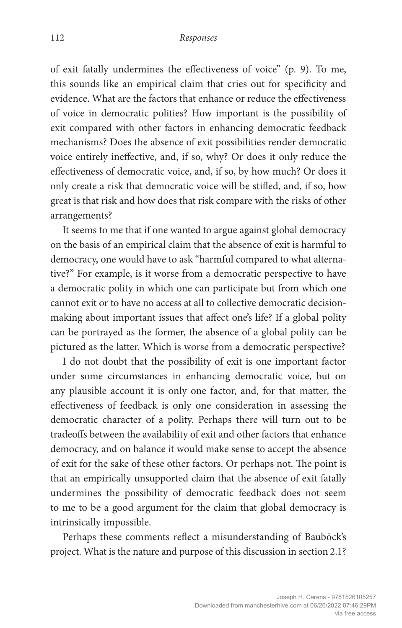of exit fatally undermines the effectiveness of voice" (p. 9). To me, this sounds like an empirical claim that cries out for specificity and evidence. What are the factors that enhance or reduce the effectiveness of voice in democratic polities? How important is the possibility of exit compared with other factors in enhancing democratic feedback mechanisms? Does the absence of exit possibilities render democratic voice entirely ineffective, and, if so, why? Or does it only reduce the effectiveness of democratic voice, and, if so, by how much? Or does it only create a risk that democratic voice will be stifled, and, if so, how great is that risk and how does that risk compare with the risks of other arrangements?

It seems to me that if one wanted to argue against global democracy on the basis of an empirical claim that the absence of exit is harmful to democracy, one would have to ask "harmful compared to what alternative?" For example, is it worse from a democratic perspective to have a democratic polity in which one can participate but from which one cannot exit or to have no access at all to collective democratic decisionmaking about important issues that affect one's life? If a global polity can be portrayed as the former, the absence of a global polity can be pictured as the latter. Which is worse from a democratic perspective?

I do not doubt that the possibility of exit is one important factor under some circumstances in enhancing democratic voice, but on any plausible account it is only one factor, and, for that matter, the effectiveness of feedback is only one consideration in assessing the democratic character of a polity. Perhaps there will turn out to be tradeoffs between the availability of exit and other factors that enhance democracy, and on balance it would make sense to accept the absence of exit for the sake of these other factors. Or perhaps not. The point is that an empirically unsupported claim that the absence of exit fatally undermines the possibility of democratic feedback does not seem to me to be a good argument for the claim that global democracy is intrinsically impossible.

Perhaps these comments reflect a misunderstanding of Bauböck's project. What is the nature and purpose of this discussion in section 2.1?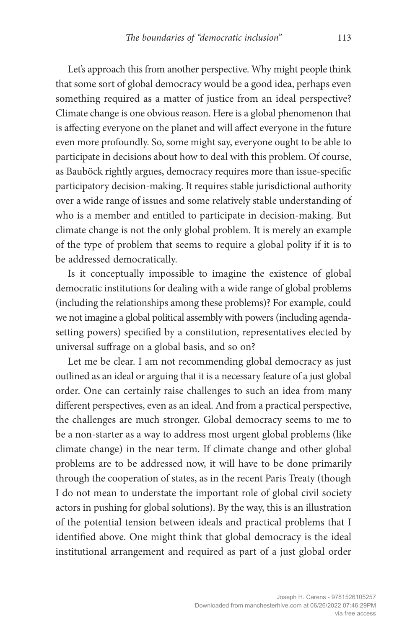Let's approach this from another perspective. Why might people think that some sort of global democracy would be a good idea, perhaps even something required as a matter of justice from an ideal perspective? Climate change is one obvious reason. Here is a global phenomenon that is affecting everyone on the planet and will affect everyone in the future even more profoundly. So, some might say, everyone ought to be able to participate in decisions about how to deal with this problem. Of course, as Bauböck rightly argues, democracy requires more than issue-specific participatory decision-making. It requires stable jurisdictional authority over a wide range of issues and some relatively stable understanding of who is a member and entitled to participate in decision-making. But climate change is not the only global problem. It is merely an example of the type of problem that seems to require a global polity if it is to be addressed democratically.

Is it conceptually impossible to imagine the existence of global democratic institutions for dealing with a wide range of global problems (including the relationships among these problems)? For example, could we not imagine a global political assembly with powers (including agendasetting powers) specified by a constitution, representatives elected by universal suffrage on a global basis, and so on?

Let me be clear. I am not recommending global democracy as just outlined as an ideal or arguing that it is a necessary feature of a just global order. One can certainly raise challenges to such an idea from many different perspectives, even as an ideal. And from a practical perspective, the challenges are much stronger. Global democracy seems to me to be a non-starter as a way to address most urgent global problems (like climate change) in the near term. If climate change and other global problems are to be addressed now, it will have to be done primarily through the cooperation of states, as in the recent Paris Treaty (though I do not mean to understate the important role of global civil society actors in pushing for global solutions). By the way, this is an illustration of the potential tension between ideals and practical problems that I identified above. One might think that global democracy is the ideal institutional arrangement and required as part of a just global order

> Joseph H. Carens - 9781526105257 Downloaded from manchesterhive.com at 06/26/2022 07:46:29PM via free access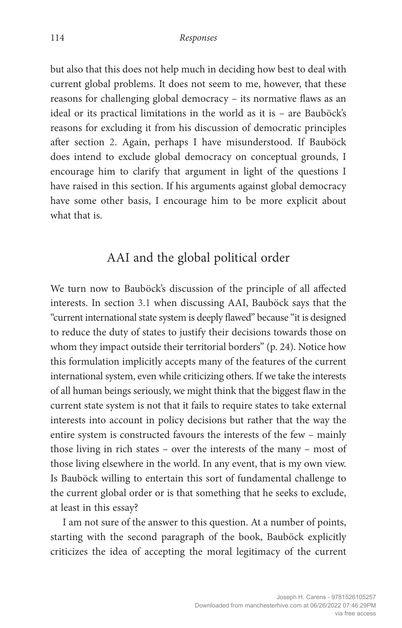but also that this does not help much in deciding how best to deal with current global problems. It does not seem to me, however, that these reasons for challenging global democracy – its normative flaws as an ideal or its practical limitations in the world as it is – are Bauböck's reasons for excluding it from his discussion of democratic principles after section 2. Again, perhaps I have misunderstood. If Bauböck does intend to exclude global democracy on conceptual grounds, I encourage him to clarify that argument in light of the questions I have raised in this section. If his arguments against global democracy have some other basis, I encourage him to be more explicit about what that is.

#### AAI and the global political order

We turn now to Bauböck's discussion of the principle of all affected interests. In section 3.1 when discussing AAI, Bauböck says that the "current international state system is deeply flawed" because "it is designed to reduce the duty of states to justify their decisions towards those on whom they impact outside their territorial borders" (p. 24). Notice how this formulation implicitly accepts many of the features of the current international system, even while criticizing others. If we take the interests of all human beings seriously, we might think that the biggest flaw in the current state system is not that it fails to require states to take external interests into account in policy decisions but rather that the way the entire system is constructed favours the interests of the few – mainly those living in rich states – over the interests of the many – most of those living elsewhere in the world. In any event, that is my own view. Is Bauböck willing to entertain this sort of fundamental challenge to the current global order or is that something that he seeks to exclude, at least in this essay?

I am not sure of the answer to this question. At a number of points, starting with the second paragraph of the book, Bauböck explicitly criticizes the idea of accepting the moral legitimacy of the current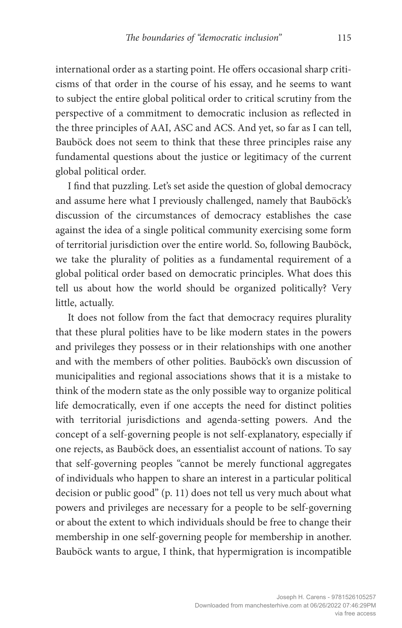international order as a starting point. He offers occasional sharp criticisms of that order in the course of his essay, and he seems to want to subject the entire global political order to critical scrutiny from the perspective of a commitment to democratic inclusion as reflected in the three principles of AAI, ASC and ACS. And yet, so far as I can tell, Bauböck does not seem to think that these three principles raise any fundamental questions about the justice or legitimacy of the current global political order.

I find that puzzling. Let's set aside the question of global democracy and assume here what I previously challenged, namely that Bauböck's discussion of the circumstances of democracy establishes the case against the idea of a single political community exercising some form of territorial jurisdiction over the entire world. So, following Bauböck, we take the plurality of polities as a fundamental requirement of a global political order based on democratic principles. What does this tell us about how the world should be organized politically? Very little, actually.

It does not follow from the fact that democracy requires plurality that these plural polities have to be like modern states in the powers and privileges they possess or in their relationships with one another and with the members of other polities. Bauböck's own discussion of municipalities and regional associations shows that it is a mistake to think of the modern state as the only possible way to organize political life democratically, even if one accepts the need for distinct polities with territorial jurisdictions and agenda-setting powers. And the concept of a self-governing people is not self-explanatory, especially if one rejects, as Bauböck does, an essentialist account of nations. To say that self-governing peoples "cannot be merely functional aggregates of individuals who happen to share an interest in a particular political decision or public good" (p. 11) does not tell us very much about what powers and privileges are necessary for a people to be self-governing or about the extent to which individuals should be free to change their membership in one self-governing people for membership in another. Bauböck wants to argue, I think, that hypermigration is incompatible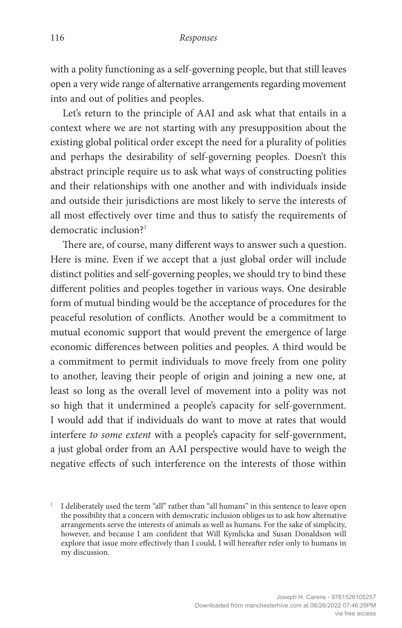with a polity functioning as a self-governing people, but that still leaves open a very wide range of alternative arrangements regarding movement into and out of polities and peoples.

Let's return to the principle of AAI and ask what that entails in a context where we are not starting with any presupposition about the existing global political order except the need for a plurality of polities and perhaps the desirability of self-governing peoples. Doesn't this abstract principle require us to ask what ways of constructing polities and their relationships with one another and with individuals inside and outside their jurisdictions are most likely to serve the interests of all most effectively over time and thus to satisfy the requirements of democratic inclusion?<sup>1</sup>

There are, of course, many different ways to answer such a question. Here is mine. Even if we accept that a just global order will include distinct polities and self-governing peoples, we should try to bind these different polities and peoples together in various ways. One desirable form of mutual binding would be the acceptance of procedures for the peaceful resolution of conflicts. Another would be a commitment to mutual economic support that would prevent the emergence of large economic differences between polities and peoples. A third would be a commitment to permit individuals to move freely from one polity to another, leaving their people of origin and joining a new one, at least so long as the overall level of movement into a polity was not so high that it undermined a people's capacity for self-government. I would add that if individuals do want to move at rates that would interfere *to some extent* with a people's capacity for self-government, a just global order from an AAI perspective would have to weigh the negative effects of such interference on the interests of those within

<sup>&</sup>lt;sup>1</sup> I deliberately used the term "all" rather than "all humans" in this sentence to leave open the possibility that a concern with democratic inclusion obliges us to ask how alternative arrangements serve the interests of animals as well as humans. For the sake of simplicity, however, and because I am confident that Will Kymlicka and Susan Donaldson will explore that issue more effectively than I could, I will hereafter refer only to humans in my discussion.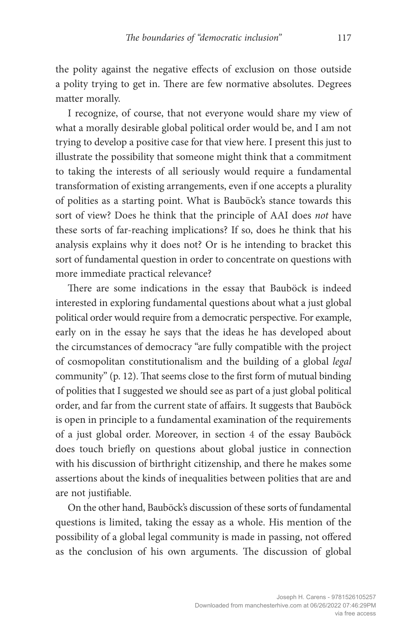the polity against the negative effects of exclusion on those outside a polity trying to get in. There are few normative absolutes. Degrees matter morally.

I recognize, of course, that not everyone would share my view of what a morally desirable global political order would be, and I am not trying to develop a positive case for that view here. I present this just to illustrate the possibility that someone might think that a commitment to taking the interests of all seriously would require a fundamental transformation of existing arrangements, even if one accepts a plurality of polities as a starting point. What is Bauböck's stance towards this sort of view? Does he think that the principle of AAI does *not* have these sorts of far-reaching implications? If so, does he think that his analysis explains why it does not? Or is he intending to bracket this sort of fundamental question in order to concentrate on questions with more immediate practical relevance?

There are some indications in the essay that Bauböck is indeed interested in exploring fundamental questions about what a just global political order would require from a democratic perspective. For example, early on in the essay he says that the ideas he has developed about the circumstances of democracy "are fully compatible with the project of cosmopolitan constitutionalism and the building of a global *legal*  community" (p. 12). That seems close to the first form of mutual binding of polities that I suggested we should see as part of a just global political order, and far from the current state of affairs. It suggests that Bauböck is open in principle to a fundamental examination of the requirements of a just global order. Moreover, in section 4 of the essay Bauböck does touch briefly on questions about global justice in connection with his discussion of birthright citizenship, and there he makes some assertions about the kinds of inequalities between polities that are and are not justifiable.

On the other hand, Bauböck's discussion of these sorts of fundamental questions is limited, taking the essay as a whole. His mention of the possibility of a global legal community is made in passing, not offered as the conclusion of his own arguments. The discussion of global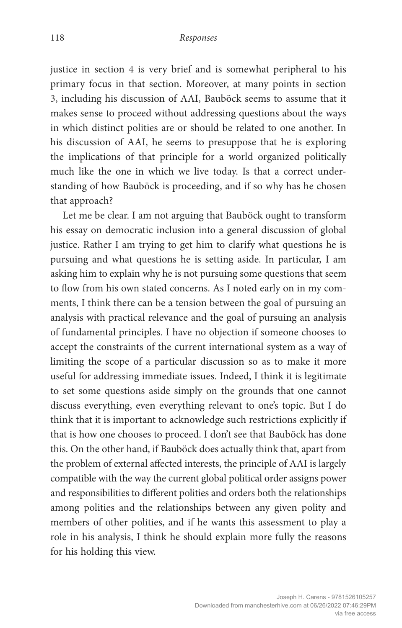justice in section 4 is very brief and is somewhat peripheral to his primary focus in that section. Moreover, at many points in section 3, including his discussion of AAI, Bauböck seems to assume that it makes sense to proceed without addressing questions about the ways in which distinct polities are or should be related to one another. In his discussion of AAI, he seems to presuppose that he is exploring the implications of that principle for a world organized politically much like the one in which we live today. Is that a correct understanding of how Bauböck is proceeding, and if so why has he chosen that approach?

Let me be clear. I am not arguing that Bauböck ought to transform his essay on democratic inclusion into a general discussion of global justice. Rather I am trying to get him to clarify what questions he is pursuing and what questions he is setting aside. In particular, I am asking him to explain why he is not pursuing some questions that seem to flow from his own stated concerns. As I noted early on in my comments, I think there can be a tension between the goal of pursuing an analysis with practical relevance and the goal of pursuing an analysis of fundamental principles. I have no objection if someone chooses to accept the constraints of the current international system as a way of limiting the scope of a particular discussion so as to make it more useful for addressing immediate issues. Indeed, I think it is legitimate to set some questions aside simply on the grounds that one cannot discuss everything, even everything relevant to one's topic. But I do think that it is important to acknowledge such restrictions explicitly if that is how one chooses to proceed. I don't see that Bauböck has done this. On the other hand, if Bauböck does actually think that, apart from the problem of external affected interests, the principle of AAI is largely compatible with the way the current global political order assigns power and responsibilities to different polities and orders both the relationships among polities and the relationships between any given polity and members of other polities, and if he wants this assessment to play a role in his analysis, I think he should explain more fully the reasons for his holding this view.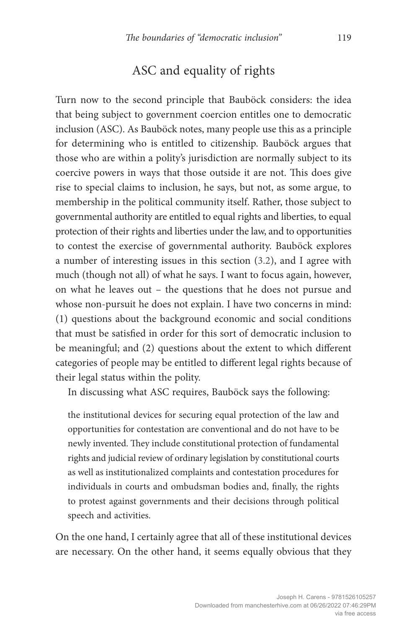#### ASC and equality of rights

Turn now to the second principle that Bauböck considers: the idea that being subject to government coercion entitles one to democratic inclusion (ASC). As Bauböck notes, many people use this as a principle for determining who is entitled to citizenship. Bauböck argues that those who are within a polity's jurisdiction are normally subject to its coercive powers in ways that those outside it are not. This does give rise to special claims to inclusion, he says, but not, as some argue, to membership in the political community itself. Rather, those subject to governmental authority are entitled to equal rights and liberties, to equal protection of their rights and liberties under the law, and to opportunities to contest the exercise of governmental authority. Bauböck explores a number of interesting issues in this section (3.2), and I agree with much (though not all) of what he says. I want to focus again, however, on what he leaves out – the questions that he does not pursue and whose non-pursuit he does not explain. I have two concerns in mind: (1) questions about the background economic and social conditions that must be satisfied in order for this sort of democratic inclusion to be meaningful; and (2) questions about the extent to which different categories of people may be entitled to different legal rights because of their legal status within the polity.

In discussing what ASC requires, Bauböck says the following:

the institutional devices for securing equal protection of the law and opportunities for contestation are conventional and do not have to be newly invented. They include constitutional protection of fundamental rights and judicial review of ordinary legislation by constitutional courts as well as institutionalized complaints and contestation procedures for individuals in courts and ombudsman bodies and, finally, the rights to protest against governments and their decisions through political speech and activities.

On the one hand, I certainly agree that all of these institutional devices are necessary. On the other hand, it seems equally obvious that they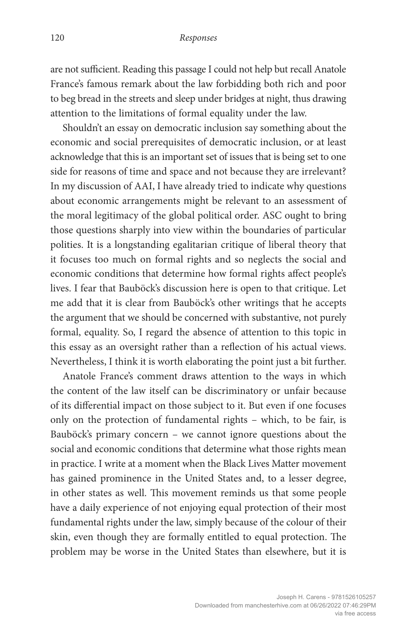are not sufficient. Reading this passage I could not help but recall Anatole France's famous remark about the law forbidding both rich and poor to beg bread in the streets and sleep under bridges at night, thus drawing attention to the limitations of formal equality under the law.

Shouldn't an essay on democratic inclusion say something about the economic and social prerequisites of democratic inclusion, or at least acknowledge that this is an important set of issues that is being set to one side for reasons of time and space and not because they are irrelevant? In my discussion of AAI, I have already tried to indicate why questions about economic arrangements might be relevant to an assessment of the moral legitimacy of the global political order. ASC ought to bring those questions sharply into view within the boundaries of particular polities. It is a longstanding egalitarian critique of liberal theory that it focuses too much on formal rights and so neglects the social and economic conditions that determine how formal rights affect people's lives. I fear that Bauböck's discussion here is open to that critique. Let me add that it is clear from Bauböck's other writings that he accepts the argument that we should be concerned with substantive, not purely formal, equality. So, I regard the absence of attention to this topic in this essay as an oversight rather than a reflection of his actual views. Nevertheless, I think it is worth elaborating the point just a bit further.

Anatole France's comment draws attention to the ways in which the content of the law itself can be discriminatory or unfair because of its differential impact on those subject to it. But even if one focuses only on the protection of fundamental rights – which, to be fair, is Bauböck's primary concern – we cannot ignore questions about the social and economic conditions that determine what those rights mean in practice. I write at a moment when the Black Lives Matter movement has gained prominence in the United States and, to a lesser degree, in other states as well. This movement reminds us that some people have a daily experience of not enjoying equal protection of their most fundamental rights under the law, simply because of the colour of their skin, even though they are formally entitled to equal protection. The problem may be worse in the United States than elsewhere, but it is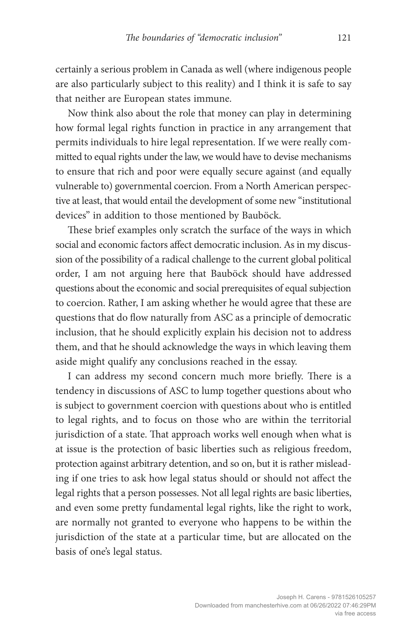certainly a serious problem in Canada as well (where indigenous people are also particularly subject to this reality) and I think it is safe to say that neither are European states immune.

Now think also about the role that money can play in determining how formal legal rights function in practice in any arrangement that permits individuals to hire legal representation. If we were really committed to equal rights under the law, we would have to devise mechanisms to ensure that rich and poor were equally secure against (and equally vulnerable to) governmental coercion. From a North American perspective at least, that would entail the development of some new "institutional devices" in addition to those mentioned by Bauböck.

These brief examples only scratch the surface of the ways in which social and economic factors affect democratic inclusion. As in my discussion of the possibility of a radical challenge to the current global political order, I am not arguing here that Bauböck should have addressed questions about the economic and social prerequisites of equal subjection to coercion. Rather, I am asking whether he would agree that these are questions that do flow naturally from ASC as a principle of democratic inclusion, that he should explicitly explain his decision not to address them, and that he should acknowledge the ways in which leaving them aside might qualify any conclusions reached in the essay.

I can address my second concern much more briefly. There is a tendency in discussions of ASC to lump together questions about who is subject to government coercion with questions about who is entitled to legal rights, and to focus on those who are within the territorial jurisdiction of a state. That approach works well enough when what is at issue is the protection of basic liberties such as religious freedom, protection against arbitrary detention, and so on, but it is rather misleading if one tries to ask how legal status should or should not affect the legal rights that a person possesses. Not all legal rights are basic liberties, and even some pretty fundamental legal rights, like the right to work, are normally not granted to everyone who happens to be within the jurisdiction of the state at a particular time, but are allocated on the basis of one's legal status.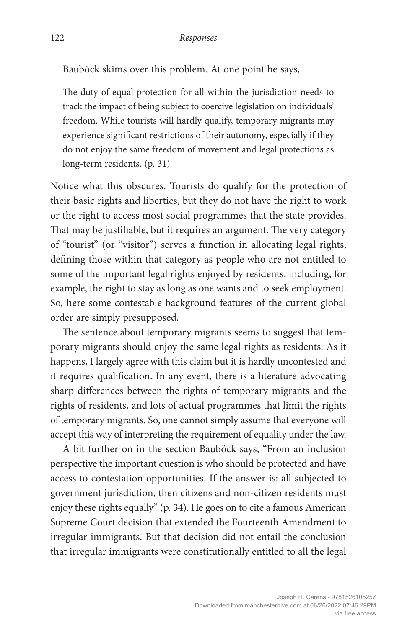Bauböck skims over this problem. At one point he says,

The duty of equal protection for all within the jurisdiction needs to track the impact of being subject to coercive legislation on individuals' freedom. While tourists will hardly qualify, temporary migrants may experience significant restrictions of their autonomy, especially if they do not enjoy the same freedom of movement and legal protections as long-term residents. (p. 31)

Notice what this obscures. Tourists do qualify for the protection of their basic rights and liberties, but they do not have the right to work or the right to access most social programmes that the state provides. That may be justifiable, but it requires an argument. The very category of "tourist" (or "visitor") serves a function in allocating legal rights, defining those within that category as people who are not entitled to some of the important legal rights enjoyed by residents, including, for example, the right to stay as long as one wants and to seek employment. So, here some contestable background features of the current global order are simply presupposed.

The sentence about temporary migrants seems to suggest that temporary migrants should enjoy the same legal rights as residents. As it happens, I largely agree with this claim but it is hardly uncontested and it requires qualification. In any event, there is a literature advocating sharp differences between the rights of temporary migrants and the rights of residents, and lots of actual programmes that limit the rights of temporary migrants. So, one cannot simply assume that everyone will accept this way of interpreting the requirement of equality under the law.

A bit further on in the section Bauböck says, "From an inclusion perspective the important question is who should be protected and have access to contestation opportunities. If the answer is: all subjected to government jurisdiction, then citizens and non-citizen residents must enjoy these rights equally" (p. 34). He goes on to cite a famous American Supreme Court decision that extended the Fourteenth Amendment to irregular immigrants. But that decision did not entail the conclusion that irregular immigrants were constitutionally entitled to all the legal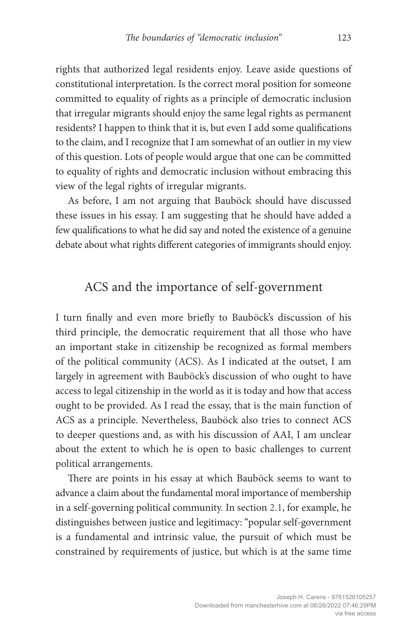rights that authorized legal residents enjoy. Leave aside questions of constitutional interpretation. Is the correct moral position for someone committed to equality of rights as a principle of democratic inclusion that irregular migrants should enjoy the same legal rights as permanent residents? I happen to think that it is, but even I add some qualifications to the claim, and I recognize that I am somewhat of an outlier in my view of this question. Lots of people would argue that one can be committed to equality of rights and democratic inclusion without embracing this view of the legal rights of irregular migrants.

As before, I am not arguing that Bauböck should have discussed these issues in his essay. I am suggesting that he should have added a few qualifications to what he did say and noted the existence of a genuine debate about what rights different categories of immigrants should enjoy.

## ACS and the importance of self-government

I turn finally and even more briefly to Bauböck's discussion of his third principle, the democratic requirement that all those who have an important stake in citizenship be recognized as formal members of the political community (ACS). As I indicated at the outset, I am largely in agreement with Bauböck's discussion of who ought to have access to legal citizenship in the world as it is today and how that access ought to be provided. As I read the essay, that is the main function of ACS as a principle. Nevertheless, Bauböck also tries to connect ACS to deeper questions and, as with his discussion of AAI, I am unclear about the extent to which he is open to basic challenges to current political arrangements.

There are points in his essay at which Bauböck seems to want to advance a claim about the fundamental moral importance of membership in a self-governing political community. In section 2.1, for example, he distinguishes between justice and legitimacy: "popular self-government is a fundamental and intrinsic value, the pursuit of which must be constrained by requirements of justice, but which is at the same time